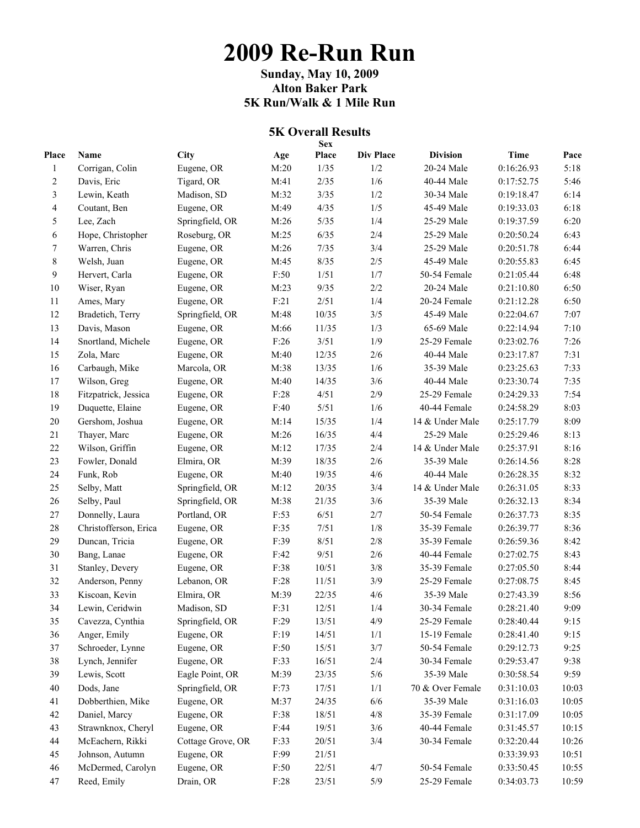# **2009 Re-Run Run**

**Sunday, May 10, 2009 Alton Baker Park 5K Run/Walk & 1 Mile Run** 

#### **5K Overall Results Sex**

| Place        | Name                  | <b>City</b>       | Age    | эсл<br>Place | <b>Div Place</b> | <b>Division</b>  | <b>Time</b> | Pace  |
|--------------|-----------------------|-------------------|--------|--------------|------------------|------------------|-------------|-------|
| $\mathbf{1}$ | Corrigan, Colin       | Eugene, OR        | M:20   | 1/35         | 1/2              | 20-24 Male       | 0:16:26.93  | 5:18  |
| 2            | Davis, Eric           | Tigard, OR        | M:41   | 2/35         | 1/6              | 40-44 Male       | 0:17:52.75  | 5:46  |
| 3            | Lewin, Keath          | Madison, SD       | M:32   | 3/35         | 1/2              | 30-34 Male       | 0:19:18.47  | 6:14  |
| 4            | Coutant, Ben          | Eugene, OR        | M:49   | 4/35         | 1/5              | 45-49 Male       | 0:19:33.03  | 6:18  |
| 5            | Lee, Zach             | Springfield, OR   | M:26   | 5/35         | 1/4              | 25-29 Male       | 0:19:37.59  | 6:20  |
| 6            | Hope, Christopher     | Roseburg, OR      | M:25   | 6/35         | 2/4              | 25-29 Male       | 0:20:50.24  | 6:43  |
| 7            | Warren, Chris         | Eugene, OR        | M:26   | 7/35         | 3/4              | 25-29 Male       | 0:20:51.78  | 6:44  |
| 8            | Welsh, Juan           | Eugene, OR        | M:45   | 8/35         | $2/5$            | 45-49 Male       | 0:20:55.83  | 6:45  |
| 9            | Hervert, Carla        | Eugene, OR        | F:50   | 1/51         | 1/7              | 50-54 Female     | 0:21:05.44  | 6:48  |
| 10           | Wiser, Ryan           | Eugene, OR        | M:23   | 9/35         | 2/2              | 20-24 Male       | 0:21:10.80  | 6:50  |
| 11           | Ames, Mary            | Eugene, OR        | F:21   | 2/51         | 1/4              | 20-24 Female     | 0:21:12.28  | 6:50  |
| 12           | Bradetich, Terry      | Springfield, OR   | M:48   | 10/35        | 3/5              | 45-49 Male       | 0:22:04.67  | 7:07  |
| 13           | Davis, Mason          | Eugene, OR        | M:66   | 11/35        | 1/3              | 65-69 Male       | 0:22:14.94  | 7:10  |
| 14           | Snortland, Michele    | Eugene, OR        | F:26   | 3/51         | 1/9              | 25-29 Female     | 0:23:02.76  | 7:26  |
| 15           | Zola, Marc            | Eugene, OR        | M:40   | 12/35        | 2/6              | 40-44 Male       | 0:23:17.87  | 7:31  |
| 16           | Carbaugh, Mike        | Marcola, OR       | M:38   | 13/35        | 1/6              | 35-39 Male       | 0:23:25.63  | 7:33  |
| 17           | Wilson, Greg          | Eugene, OR        | M:40   | 14/35        | 3/6              | 40-44 Male       | 0:23:30.74  | 7:35  |
| 18           | Fitzpatrick, Jessica  | Eugene, OR        | F:28   | 4/51         | 2/9              | 25-29 Female     | 0:24:29.33  | 7:54  |
| 19           | Duquette, Elaine      | Eugene, OR        | F:40   | 5/51         | 1/6              | 40-44 Female     | 0:24:58.29  | 8:03  |
| $20\,$       | Gershom, Joshua       | Eugene, OR        | M:14   | 15/35        | 1/4              | 14 & Under Male  | 0:25:17.79  | 8:09  |
| 21           | Thayer, Marc          | Eugene, OR        | M:26   | 16/35        | 4/4              | 25-29 Male       | 0:25:29.46  | 8:13  |
| $22\,$       | Wilson, Griffin       | Eugene, OR        | M:12   | 17/35        | 2/4              | 14 & Under Male  | 0:25:37.91  | 8:16  |
| 23           | Fowler, Donald        | Elmira, OR        | M:39   | 18/35        | 2/6              | 35-39 Male       | 0:26:14.56  | 8:28  |
| 24           | Funk, Rob             | Eugene, OR        | M:40   | 19/35        | 4/6              | 40-44 Male       | 0:26:28.35  | 8:32  |
| 25           | Selby, Matt           | Springfield, OR   | M:12   | 20/35        | 3/4              | 14 & Under Male  | 0:26:31.05  | 8:33  |
| 26           | Selby, Paul           | Springfield, OR   | M:38   | 21/35        | 3/6              | 35-39 Male       | 0:26:32.13  | 8:34  |
| 27           | Donnelly, Laura       | Portland, OR      | F:53   | 6/51         | 2/7              | 50-54 Female     | 0:26:37.73  | 8:35  |
| 28           | Christofferson, Erica | Eugene, OR        | F:35   | 7/51         | 1/8              | 35-39 Female     | 0:26:39.77  | 8:36  |
| 29           | Duncan, Tricia        | Eugene, OR        | F:39   | 8/51         | 2/8              | 35-39 Female     | 0:26:59.36  | 8:42  |
| 30           | Bang, Lanae           | Eugene, OR        | F:42   | 9/51         | $2/6$            | 40-44 Female     | 0:27:02.75  | 8:43  |
| 31           | Stanley, Devery       | Eugene, OR        | F:38   | 10/51        | $3/8$            | 35-39 Female     | 0:27:05.50  | 8:44  |
| 32           | Anderson, Penny       | Lebanon, OR       | F:28   | 11/51        | 3/9              | 25-29 Female     | 0:27:08.75  | 8:45  |
| 33           | Kiscoan, Kevin        | Elmira, OR        | M:39   | 22/35        | 4/6              | 35-39 Male       | 0:27:43.39  | 8:56  |
| 34           | Lewin, Ceridwin       | Madison, SD       | F:31   | 12/51        | 1/4              | 30-34 Female     | 0:28:21.40  | 9:09  |
| 35           | Cavezza, Cynthia      | Springfield, OR   | F:29   | 13/51        | 4/9              | 25-29 Female     | 0:28:40.44  | 9:15  |
| 36           | Anger, Emily          | Eugene, OR        | F:19   | 14/51        | 1/1              | 15-19 Female     | 0:28:41.40  | 9:15  |
| 37           | Schroeder, Lynne      | Eugene, OR        | $F:50$ | 15/51        | 3/7              | 50-54 Female     | 0:29:12.73  | 9:25  |
| 38           | Lynch, Jennifer       | Eugene, OR        | F:33   | 16/51        | 2/4              | 30-34 Female     | 0:29:53.47  | 9:38  |
| 39           | Lewis, Scott          | Eagle Point, OR   | M:39   | 23/35        | $5/6$            | 35-39 Male       | 0:30:58.54  | 9:59  |
| 40           | Dods, Jane            | Springfield, OR   | F:73   | 17/51        | 1/1              | 70 & Over Female | 0:31:10.03  | 10:03 |
| 41           | Dobberthien, Mike     | Eugene, OR        | M:37   | 24/35        | 6/6              | 35-39 Male       | 0:31:16.03  | 10:05 |
| 42           | Daniel, Marcy         | Eugene, OR        | F:38   | 18/51        | $4/8$            | 35-39 Female     | 0:31:17.09  | 10:05 |
| 43           | Strawnknox, Cheryl    | Eugene, OR        | F:44   | 19/51        | 3/6              | 40-44 Female     | 0:31:45.57  | 10:15 |
| 44           | McEachern, Rikki      | Cottage Grove, OR | F:33   | 20/51        | 3/4              | 30-34 Female     | 0:32:20.44  | 10:26 |
| 45           | Johnson, Autumn       | Eugene, OR        | F:99   | 21/51        |                  |                  | 0:33:39.93  | 10:51 |
| 46           | McDermed, Carolyn     | Eugene, OR        | F:50   | 22/51        | $4/7$            | 50-54 Female     | 0:33:50.45  | 10:55 |
| 47           | Reed, Emily           | Drain, OR         | F:28   | 23/51        | $5/9$            | 25-29 Female     | 0:34:03.73  | 10:59 |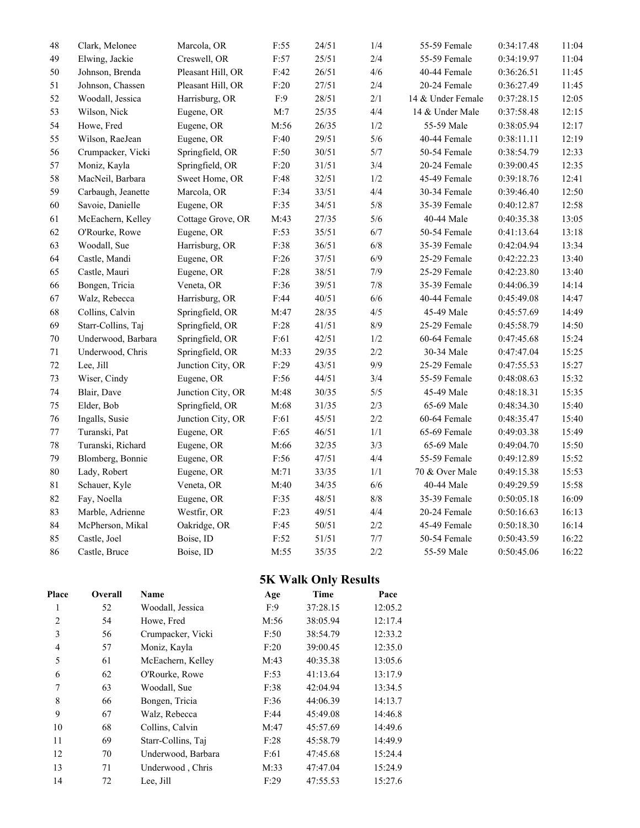| 48     | Clark, Melonee     | Marcola, OR       | F:55   | 24/51 | 1/4     | 55-59 Female      | 0:34:17.48 | 11:04 |
|--------|--------------------|-------------------|--------|-------|---------|-------------------|------------|-------|
| 49     | Elwing, Jackie     | Creswell, OR      | F:57   | 25/51 | 2/4     | 55-59 Female      | 0:34:19.97 | 11:04 |
| 50     | Johnson, Brenda    | Pleasant Hill, OR | F:42   | 26/51 | 4/6     | 40-44 Female      | 0:36:26.51 | 11:45 |
| 51     | Johnson, Chassen   | Pleasant Hill, OR | F:20   | 27/51 | $2/4$   | 20-24 Female      | 0:36:27.49 | 11:45 |
| 52     | Woodall, Jessica   | Harrisburg, OR    | F:9    | 28/51 | 2/1     | 14 & Under Female | 0:37:28.15 | 12:05 |
| 53     | Wilson, Nick       | Eugene, OR        | M:7    | 25/35 | 4/4     | 14 & Under Male   | 0:37:58.48 | 12:15 |
| 54     | Howe, Fred         | Eugene, OR        | M:56   | 26/35 | 1/2     | 55-59 Male        | 0:38:05.94 | 12:17 |
| 55     | Wilson, RaeJean    | Eugene, OR        | F:40   | 29/51 | $5/6$   | 40-44 Female      | 0:38:11.11 | 12:19 |
| 56     | Crumpacker, Vicki  | Springfield, OR   | $F:50$ | 30/51 | 5/7     | 50-54 Female      | 0:38:54.79 | 12:33 |
| 57     | Moniz, Kayla       | Springfield, OR   | $F:20$ | 31/51 | 3/4     | 20-24 Female      | 0:39:00.45 | 12:35 |
| 58     | MacNeil, Barbara   | Sweet Home, OR    | F:48   | 32/51 | 1/2     | 45-49 Female      | 0:39:18.76 | 12:41 |
| 59     | Carbaugh, Jeanette | Marcola, OR       | F:34   | 33/51 | 4/4     | 30-34 Female      | 0:39:46.40 | 12:50 |
| 60     | Savoie, Danielle   | Eugene, OR        | F:35   | 34/51 | $5/8$   | 35-39 Female      | 0:40:12.87 | 12:58 |
| 61     | McEachern, Kelley  | Cottage Grove, OR | M:43   | 27/35 | $5/6$   | 40-44 Male        | 0:40:35.38 | 13:05 |
| 62     | O'Rourke, Rowe     | Eugene, OR        | F:53   | 35/51 | $6/7$   | 50-54 Female      | 0:41:13.64 | 13:18 |
| 63     | Woodall, Sue       | Harrisburg, OR    | F:38   | 36/51 | $6/8$   | 35-39 Female      | 0:42:04.94 | 13:34 |
| 64     | Castle, Mandi      | Eugene, OR        | $F:26$ | 37/51 | 6/9     | 25-29 Female      | 0:42:22.23 | 13:40 |
| 65     | Castle, Mauri      | Eugene, OR        | F:28   | 38/51 | 7/9     | 25-29 Female      | 0:42:23.80 | 13:40 |
| 66     | Bongen, Tricia     | Veneta, OR        | F:36   | 39/51 | $7/8$   | 35-39 Female      | 0:44:06.39 | 14:14 |
| 67     | Walz, Rebecca      | Harrisburg, OR    | F:44   | 40/51 | 6/6     | 40-44 Female      | 0:45:49.08 | 14:47 |
| 68     | Collins, Calvin    | Springfield, OR   | M:47   | 28/35 | 4/5     | 45-49 Male        | 0:45:57.69 | 14:49 |
| 69     | Starr-Collins, Taj | Springfield, OR   | $F:28$ | 41/51 | 8/9     | 25-29 Female      | 0:45:58.79 | 14:50 |
| $70\,$ | Underwood, Barbara | Springfield, OR   | F:61   | 42/51 | 1/2     | 60-64 Female      | 0:47:45.68 | 15:24 |
| 71     | Underwood, Chris   | Springfield, OR   | M:33   | 29/35 | 2/2     | 30-34 Male        | 0:47:47.04 | 15:25 |
| $72\,$ | Lee, Jill          | Junction City, OR | F:29   | 43/51 | 9/9     | 25-29 Female      | 0:47:55.53 | 15:27 |
| 73     | Wiser, Cindy       | Eugene, OR        | F:56   | 44/51 | 3/4     | 55-59 Female      | 0:48:08.63 | 15:32 |
| $74\,$ | Blair, Dave        | Junction City, OR | M:48   | 30/35 | 5/5     | 45-49 Male        | 0:48:18.31 | 15:35 |
| 75     | Elder, Bob         | Springfield, OR   | M:68   | 31/35 | 2/3     | 65-69 Male        | 0:48:34.30 | 15:40 |
| 76     | Ingalls, Susie     | Junction City, OR | F:61   | 45/51 | $2/2\,$ | 60-64 Female      | 0:48:35.47 | 15:40 |
| $77\,$ | Turanski, Pat      | Eugene, OR        | F:65   | 46/51 | $1/1\,$ | 65-69 Female      | 0:49:03.38 | 15:49 |
| $78\,$ | Turanski, Richard  | Eugene, OR        | M:66   | 32/35 | 3/3     | 65-69 Male        | 0:49:04.70 | 15:50 |
| 79     | Blomberg, Bonnie   | Eugene, OR        | F:56   | 47/51 | 4/4     | 55-59 Female      | 0:49:12.89 | 15:52 |
| $80\,$ | Lady, Robert       | Eugene, OR        | M:71   | 33/35 | 1/1     | 70 & Over Male    | 0:49:15.38 | 15:53 |
| 81     | Schauer, Kyle      | Veneta, OR        | M:40   | 34/35 | $6/6$   | 40-44 Male        | 0:49:29.59 | 15:58 |
| 82     | Fay, Noella        | Eugene, OR        | F:35   | 48/51 | $8/8$   | 35-39 Female      | 0:50:05.18 | 16:09 |
| 83     | Marble, Adrienne   | Westfir, OR       | F:23   | 49/51 | 4/4     | 20-24 Female      | 0:50:16.63 | 16:13 |
| 84     | McPherson, Mikal   | Oakridge, OR      | F:45   | 50/51 | $2/2\,$ | 45-49 Female      | 0:50:18.30 | 16:14 |
| 85     | Castle, Joel       | Boise, ID         | $F:52$ | 51/51 | $7/7$   | 50-54 Female      | 0:50:43.59 | 16:22 |
| 86     | Castle, Bruce      | Boise, ID         | M:55   | 35/35 | 2/2     | 55-59 Male        | 0:50:45.06 | 16:22 |

## **5K Walk Only Results**

| Place | Overall | Name               | Age  | <b>Time</b> | Pace    |
|-------|---------|--------------------|------|-------------|---------|
| 1     | 52      | Woodall, Jessica   | F:9  | 37:28.15    | 12:05.2 |
| 2     | 54      | Howe, Fred         | M:56 | 38:05.94    | 12:17.4 |
| 3     | 56      | Crumpacker, Vicki  | F:50 | 38:54.79    | 12:33.2 |
| 4     | 57      | Moniz, Kayla       | F:20 | 39:00.45    | 12:35.0 |
| 5     | 61      | McEachern, Kelley  | M:43 | 40:35.38    | 13:05.6 |
| 6     | 62      | O'Rourke, Rowe     | F:53 | 41:13.64    | 13:17.9 |
| 7     | 63      | Woodall, Sue       | F:38 | 42:04.94    | 13:34.5 |
| 8     | 66      | Bongen, Tricia     | F:36 | 44:06.39    | 14:13.7 |
| 9     | 67      | Walz, Rebecca      | F:44 | 45:49.08    | 14:46.8 |
| 10    | 68      | Collins, Calvin    | M:47 | 45:57.69    | 14:49.6 |
| 11    | 69      | Starr-Collins, Taj | F:28 | 45:58.79    | 14:49.9 |
| 12    | 70      | Underwood, Barbara | F:61 | 47:45.68    | 15:24.4 |
| 13    | 71      | Underwood, Chris   | M:33 | 47:47.04    | 15:24.9 |
| 14    | 72      | Lee, Jill          | F:29 | 47:55.53    | 15:27.6 |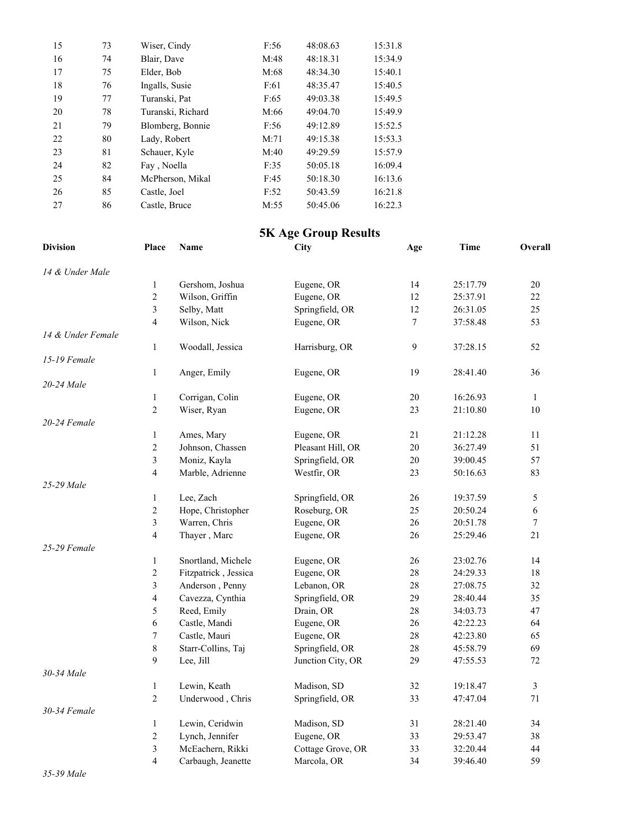| 15 | 73 | Wiser, Cindy      | F:56 | 48:08.63 | 15:31.8 |
|----|----|-------------------|------|----------|---------|
| 16 | 74 | Blair, Dave       | M:48 | 48:18.31 | 15:34.9 |
| 17 | 75 | Elder, Bob        | M:68 | 48:34.30 | 15:40.1 |
| 18 | 76 | Ingalls, Susie    | F:61 | 48:35.47 | 15:40.5 |
| 19 | 77 | Turanski, Pat     | F:65 | 49:03.38 | 15:49.5 |
| 20 | 78 | Turanski, Richard | M:66 | 49:04.70 | 15:49.9 |
| 21 | 79 | Blomberg, Bonnie  | F:56 | 49:12.89 | 15:52.5 |
| 22 | 80 | Lady, Robert      | M:71 | 49:15.38 | 15:53.3 |
| 23 | 81 | Schauer, Kyle     | M:40 | 49:29.59 | 15:57.9 |
| 24 | 82 | Fay, Noella       | F:35 | 50:05.18 | 16:09.4 |
| 25 | 84 | McPherson, Mikal  | F:45 | 50:18.30 | 16:13.6 |
| 26 | 85 | Castle, Joel      | F:52 | 50:43.59 | 16:21.8 |
| 27 | 86 | Castle, Bruce     | M:55 | 50:45.06 | 16:22.3 |

#### **5K Age Group Results**

| <b>Division</b>   | Place                    | Name                 | City              | Age    | <b>Time</b> | Overall          |
|-------------------|--------------------------|----------------------|-------------------|--------|-------------|------------------|
| 14 & Under Male   |                          |                      |                   |        |             |                  |
|                   | $\mathbf{1}$             | Gershom, Joshua      | Eugene, OR        | 14     | 25:17.79    | 20               |
|                   | $\overline{c}$           | Wilson, Griffin      | Eugene, OR        | 12     | 25:37.91    | 22               |
|                   | 3                        | Selby, Matt          | Springfield, OR   | 12     | 26:31.05    | 25               |
|                   | 4                        | Wilson, Nick         | Eugene, OR        | 7      | 37:58.48    | 53               |
| 14 & Under Female |                          |                      |                   |        |             |                  |
|                   | $\mathbf{1}$             | Woodall, Jessica     | Harrisburg, OR    | 9      | 37:28.15    | 52               |
| 15-19 Female      |                          |                      |                   |        |             |                  |
|                   | $\mathbf{1}$             | Anger, Emily         | Eugene, OR        | 19     | 28:41.40    | 36               |
| 20-24 Male        |                          |                      |                   |        |             |                  |
|                   | 1                        | Corrigan, Colin      | Eugene, OR        | 20     | 16:26.93    | $\mathbf{1}$     |
|                   | $\overline{2}$           | Wiser, Ryan          | Eugene, OR        | 23     | 21:10.80    | 10               |
| $20 - 24$ Female  |                          |                      |                   |        |             |                  |
|                   | $\mathbf{1}$             | Ames, Mary           | Eugene, OR        | 21     | 21:12.28    | 11               |
|                   | $\overline{c}$           | Johnson, Chassen     | Pleasant Hill, OR | 20     | 36:27.49    | 51               |
|                   | $\mathfrak{Z}$           | Moniz, Kayla         | Springfield, OR   | $20\,$ | 39:00.45    | 57               |
|                   | $\overline{4}$           | Marble, Adrienne     | Westfir, OR       | 23     | 50:16.63    | 83               |
| 25-29 Male        |                          |                      |                   |        |             |                  |
|                   | $\mathbf{1}$             | Lee, Zach            | Springfield, OR   | 26     | 19:37.59    | 5                |
|                   | $\overline{2}$           | Hope, Christopher    | Roseburg, OR      | 25     | 20:50.24    | 6                |
|                   | 3                        | Warren, Chris        | Eugene, OR        | 26     | 20:51.78    | $\boldsymbol{7}$ |
|                   | 4                        | Thayer, Marc         | Eugene, OR        | 26     | 25:29.46    | 21               |
| 25-29 Female      |                          |                      |                   |        |             |                  |
|                   | 1                        | Snortland, Michele   | Eugene, OR        | 26     | 23:02.76    | 14               |
|                   | 2                        | Fitzpatrick, Jessica | Eugene, OR        | 28     | 24:29.33    | 18               |
|                   | 3                        | Anderson, Penny      | Lebanon, OR       | 28     | 27:08.75    | 32               |
|                   | $\overline{\mathcal{A}}$ | Cavezza, Cynthia     | Springfield, OR   | 29     | 28:40.44    | 35               |
|                   | 5                        | Reed, Emily          | Drain, OR         | $28\,$ | 34:03.73    | 47               |
|                   | 6                        | Castle, Mandi        | Eugene, OR        | 26     | 42:22.23    | 64               |
|                   | 7                        | Castle, Mauri        | Eugene, OR        | 28     | 42:23.80    | 65               |
|                   | 8                        | Starr-Collins, Taj   | Springfield, OR   | 28     | 45:58.79    | 69               |
|                   | 9                        | Lee, Jill            | Junction City, OR | 29     | 47:55.53    | 72               |
| 30-34 Male        |                          |                      |                   |        |             |                  |
|                   | 1                        | Lewin, Keath         | Madison, SD       | 32     | 19:18.47    | 3                |
|                   | $\overline{c}$           | Underwood, Chris     | Springfield, OR   | 33     | 47:47.04    | 71               |
| 30-34 Female      |                          |                      |                   |        |             |                  |
|                   | $\mathbf{1}$             | Lewin, Ceridwin      | Madison, SD       | 31     | 28:21.40    | 34               |
|                   | $\overline{2}$           | Lynch, Jennifer      | Eugene, OR        | 33     | 29:53.47    | 38               |
|                   | 3                        | McEachern, Rikki     | Cottage Grove, OR | 33     | 32:20.44    | 44               |
|                   | $\overline{4}$           | Carbaugh, Jeanette   | Marcola, OR       | 34     | 39:46.40    | 59               |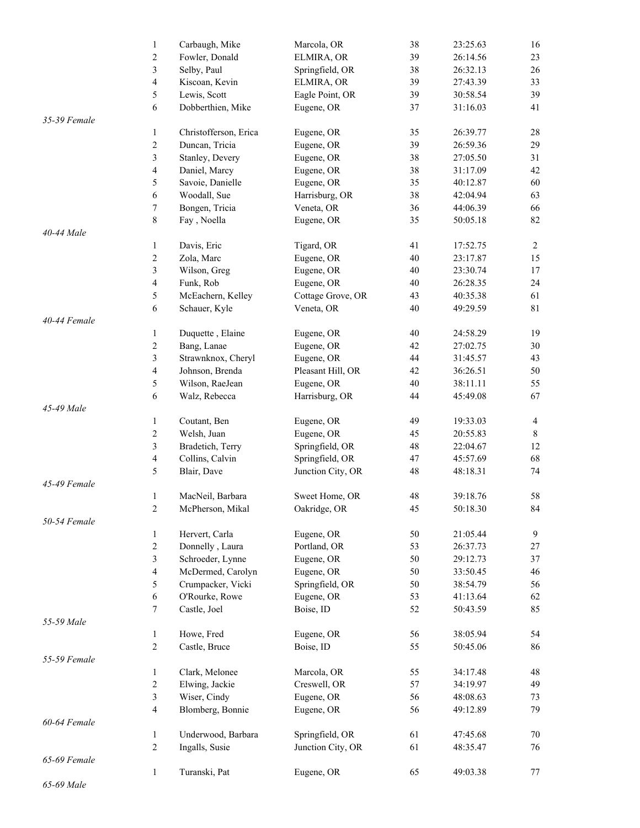|              | $\mathbf{1}$             | Carbaugh, Mike        | Marcola, OR       | 38 | 23:25.63 | 16             |
|--------------|--------------------------|-----------------------|-------------------|----|----------|----------------|
|              | $\overline{c}$           | Fowler, Donald        | ELMIRA, OR        | 39 | 26:14.56 | 23             |
|              | 3                        | Selby, Paul           | Springfield, OR   | 38 | 26:32.13 | 26             |
|              | $\overline{\mathcal{L}}$ | Kiscoan, Kevin        | ELMIRA, OR        | 39 | 27:43.39 | 33             |
|              | 5                        | Lewis, Scott          | Eagle Point, OR   | 39 | 30:58.54 | 39             |
|              | 6                        | Dobberthien, Mike     | Eugene, OR        | 37 | 31:16.03 | 41             |
| 35-39 Female |                          |                       |                   |    |          |                |
|              | $\mathbf{1}$             | Christofferson, Erica | Eugene, OR        | 35 | 26:39.77 | 28             |
|              | $\overline{c}$           | Duncan, Tricia        | Eugene, OR        | 39 | 26:59.36 | 29             |
|              | 3                        |                       | Eugene, OR        | 38 | 27:05.50 | 31             |
|              |                          | Stanley, Devery       |                   |    |          |                |
|              | $\overline{\mathcal{L}}$ | Daniel, Marcy         | Eugene, OR        | 38 | 31:17.09 | 42             |
|              | 5                        | Savoie, Danielle      | Eugene, OR        | 35 | 40:12.87 | 60             |
|              | 6                        | Woodall, Sue          | Harrisburg, OR    | 38 | 42:04.94 | 63             |
|              | 7                        | Bongen, Tricia        | Veneta, OR        | 36 | 44:06.39 | 66             |
|              | 8                        | Fay, Noella           | Eugene, OR        | 35 | 50:05.18 | 82             |
| 40-44 Male   |                          |                       |                   |    |          |                |
|              | $\mathbf{1}$             | Davis, Eric           | Tigard, OR        | 41 | 17:52.75 | $\overline{2}$ |
|              | $\overline{c}$           | Zola, Marc            | Eugene, OR        | 40 | 23:17.87 | 15             |
|              | 3                        | Wilson, Greg          | Eugene, OR        | 40 | 23:30.74 | 17             |
|              | $\overline{\mathcal{L}}$ | Funk, Rob             | Eugene, OR        | 40 | 26:28.35 | 24             |
|              | 5                        | McEachern, Kelley     | Cottage Grove, OR | 43 | 40:35.38 | 61             |
|              | 6                        | Schauer, Kyle         | Veneta, OR        | 40 | 49:29.59 | 81             |
| 40-44 Female |                          |                       |                   |    |          |                |
|              | $\mathbf{1}$             | Duquette, Elaine      | Eugene, OR        | 40 | 24:58.29 | 19             |
|              | $\overline{c}$           | Bang, Lanae           | Eugene, OR        | 42 | 27:02.75 | 30             |
|              | 3                        | Strawnknox, Cheryl    | Eugene, OR        | 44 | 31:45.57 | 43             |
|              | $\overline{\mathcal{L}}$ | Johnson, Brenda       | Pleasant Hill, OR | 42 | 36:26.51 | 50             |
|              |                          |                       |                   |    |          | 55             |
|              | 5                        | Wilson, RaeJean       | Eugene, OR        | 40 | 38:11.11 |                |
|              | 6                        | Walz, Rebecca         | Harrisburg, OR    | 44 | 45:49.08 | 67             |
| 45-49 Male   |                          |                       |                   |    |          |                |
|              | $\mathbf{1}$             | Coutant, Ben          | Eugene, OR        | 49 | 19:33.03 | $\overline{4}$ |
|              | $\overline{c}$           | Welsh, Juan           | Eugene, OR        | 45 | 20:55.83 | $8\,$          |
|              | 3                        | Bradetich, Terry      | Springfield, OR   | 48 | 22:04.67 | 12             |
|              | 4                        | Collins, Calvin       | Springfield, OR   | 47 | 45:57.69 | 68             |
|              | 5                        | Blair, Dave           | Junction City, OR | 48 | 48:18.31 | 74             |
| 45-49 Female |                          |                       |                   |    |          |                |
|              | $\mathbf{1}$             | MacNeil, Barbara      | Sweet Home, OR    | 48 | 39:18.76 | 58             |
|              | $\overline{c}$           | McPherson, Mikal      | Oakridge, OR      | 45 | 50:18.30 | 84             |
| 50-54 Female |                          |                       |                   |    |          |                |
|              | $\mathbf{1}$             | Hervert, Carla        | Eugene, OR        | 50 | 21:05.44 | $\overline{9}$ |
|              | $\overline{c}$           | Donnelly, Laura       | Portland, OR      | 53 | 26:37.73 | $27\,$         |
|              | 3                        | Schroeder, Lynne      | Eugene, OR        | 50 | 29:12.73 | 37             |
|              | $\overline{\mathcal{L}}$ | McDermed, Carolyn     | Eugene, OR        | 50 | 33:50.45 | 46             |
|              | 5                        | Crumpacker, Vicki     | Springfield, OR   | 50 | 38:54.79 | 56             |
|              | 6                        | O'Rourke, Rowe        | Eugene, OR        | 53 | 41:13.64 | 62             |
|              |                          |                       |                   |    |          | 85             |
|              | 7                        | Castle, Joel          | Boise, ID         | 52 | 50:43.59 |                |
| 55-59 Male   |                          |                       |                   |    |          |                |
|              | $\mathbf{1}$             | Howe, Fred            | Eugene, OR        | 56 | 38:05.94 | 54             |
|              | $\overline{c}$           | Castle, Bruce         | Boise, ID         | 55 | 50:45.06 | 86             |
| 55-59 Female |                          |                       |                   |    |          |                |
|              | $\mathbf{1}$             | Clark, Melonee        | Marcola, OR       | 55 | 34:17.48 | 48             |
|              | $\overline{c}$           | Elwing, Jackie        | Creswell, OR      | 57 | 34:19.97 | 49             |
|              | 3                        | Wiser, Cindy          | Eugene, OR        | 56 | 48:08.63 | 73             |
|              | 4                        | Blomberg, Bonnie      | Eugene, OR        | 56 | 49:12.89 | 79             |
| 60-64 Female |                          |                       |                   |    |          |                |
|              | $\mathbf{1}$             | Underwood, Barbara    | Springfield, OR   | 61 | 47:45.68 | 70             |
|              | $\overline{c}$           | Ingalls, Susie        | Junction City, OR | 61 | 48:35.47 | 76             |
| 65-69 Female |                          |                       |                   |    |          |                |
|              | $\mathbf{1}$             | Turanski, Pat         | Eugene, OR        | 65 | 49:03.38 | 77             |
| 65-69 Male   |                          |                       |                   |    |          |                |
|              |                          |                       |                   |    |          |                |